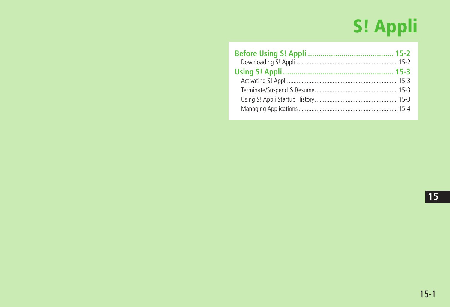# S! Appli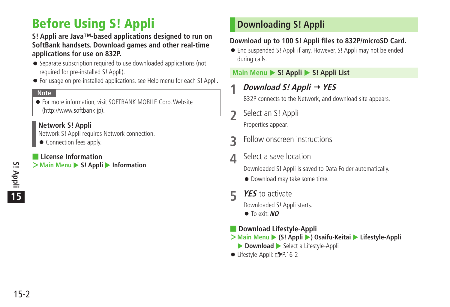# <span id="page-1-0"></span>**Before Using S! Appli**

#### **S! Appli are Java™-based applications designed to run on SoftBank handsets. Download games and other real-time applications for use on 832P.**

- Separate subscription required to use downloaded applications (not required for pre-installed S! Appli).
- For usage on pre-installed applications, see Help menu for each S! Appli.

#### **Note**

● For more information, visit SOFTBANK MOBILE Corp. Website (http://www.softbank.jp).

#### **Network S! Appli**

Network S! Appli requires Network connection.

● Connection fees apply.

#### ■ **License Information**

**>Main Menu** ▶ S! Appli ▶ Information

# **Downloading S! Appli**

#### **Download up to 100 S! Appli files to 832P/microSD Card.**

● End suspended S! Appli if any. However, S! Appli may not be ended during calls.

#### **Main Menu ▶ S! Appli ▶ S! Appli List**

**1 Download S! Appli YES**

832P connects to the Network, and download site appears.

- **2** Select an S! Appli Properties appear.
- **3** Follow onscreen instructions
- **4** Select a save location

Downloaded S! Appli is saved to Data Folder automatically.

- Download may take some time.
- **5 YES** to activate

Downloaded S! Appli starts.

- To exit: **NO**
- **Download Lifestyle-Appli**
- $\geq$  Main Menu ▶ (S! Appli ▶) Osaifu-Keitai ▶ Lifestyle-Appli **Download** Select a Lifestyle-Appli
- Lifestyle-Appli: <del>C</del>P.16-2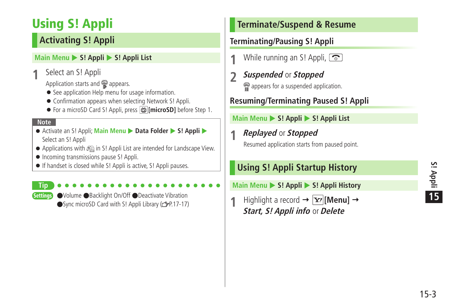# <span id="page-2-0"></span>**Using S! Appli**

# **Activating S! Appli**

#### **Main Menu > S! Appli > S! Appli List**

**1** Select an S! Appli

Application starts and  $\mathbb{R}$  appears.

- See application Help menu for usage information.
- Confirmation appears when selecting Network S! Appli.
- For a microSD Card S! Appli, press **microSDI** before Step 1.

#### **Note**

**Tip**

- Activate an S! Appli; Main Menu ▶ Data Folder ▶ S! Appli ▶ Select an S! Appli
- Applications with  $\otimes$  in S! Appli List are intended for Landscape View.
- Incoming transmissions pause S! Appli.
- If handset is closed while S! Appli is active, S! Appli pauses.

Settings ●Volume ●Backlight On/Off ●Deactivate Vibration  $\bullet$ Sync microSD Card with S! Appli Library ( $\circ$ P.17-17)

# **Terminate/Suspend & Resume**

# **Terminating/Pausing S! Appli**

- **1** While running an S! Appli,  $\boxed{\odot}$
- **2 Suspended** or **Stopped** appears for a suspended application.

# **Resuming/Terminating Paused S! Appli**

#### **Main Menu > S! Appli > S! Appli List**

# **1 Replayed** or **Stopped**

Resumed application starts from paused point.

# **Using S! Appli Startup History**

- **Main Menu > S! Appli > S! Appli History**
- **Highlight a record**  $\rightarrow \boxed{\mathbf{x}}$  **[Menu]**  $\rightarrow$ **Start, S! Appli info** or **Delete**